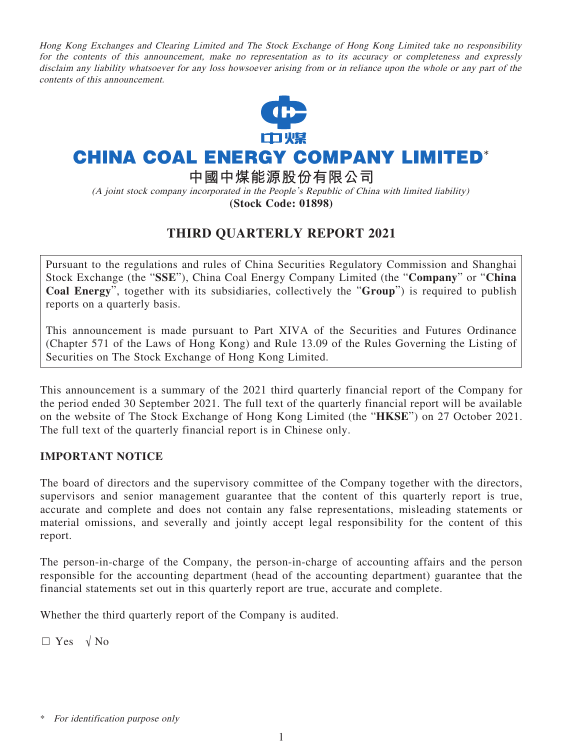Hong Kong Exchanges and Clearing Limited and The Stock Exchange of Hong Kong Limited take no responsibility for the contents of this announcement, make no representation as to its accuracy or completeness and expressly disclaim any liability whatsoever for any loss howsoever arising from or in reliance upon the whole or any part of the contents of this announcement.



# **CHINA COAL ENERGY COMPANY LIMITED\***

**中國中煤能源股份有限公司**

(A joint stock company incorporated in the People's Republic of China with limited liability) **(Stock Code: 01898)**

## **THIRD QUARTERLY REPORT 2021**

Pursuant to the regulations and rules of China Securities Regulatory Commission and Shanghai Stock Exchange (the "**SSE**"), China Coal Energy Company Limited (the "**Company**" or "**China Coal Energy**", together with its subsidiaries, collectively the "**Group**") is required to publish reports on a quarterly basis.

This announcement is made pursuant to Part XIVA of the Securities and Futures Ordinance (Chapter 571 of the Laws of Hong Kong) and Rule 13.09 of the Rules Governing the Listing of Securities on The Stock Exchange of Hong Kong Limited.

This announcement is a summary of the 2021 third quarterly financial report of the Company for the period ended 30 September 2021. The full text of the quarterly financial report will be available on the website of The Stock Exchange of Hong Kong Limited (the "**HKSE**") on 27 October 2021. The full text of the quarterly financial report is in Chinese only.

### **IMPORTANT NOTICE**

The board of directors and the supervisory committee of the Company together with the directors, supervisors and senior management guarantee that the content of this quarterly report is true, accurate and complete and does not contain any false representations, misleading statements or material omissions, and severally and jointly accept legal responsibility for the content of this report.

The person-in-charge of the Company, the person-in-charge of accounting affairs and the person responsible for the accounting department (head of the accounting department) guarantee that the financial statements set out in this quarterly report are true, accurate and complete.

Whether the third quarterly report of the Company is audited.

 $\Box$  Yes  $\sqrt{N_0}$ 

For identification purpose only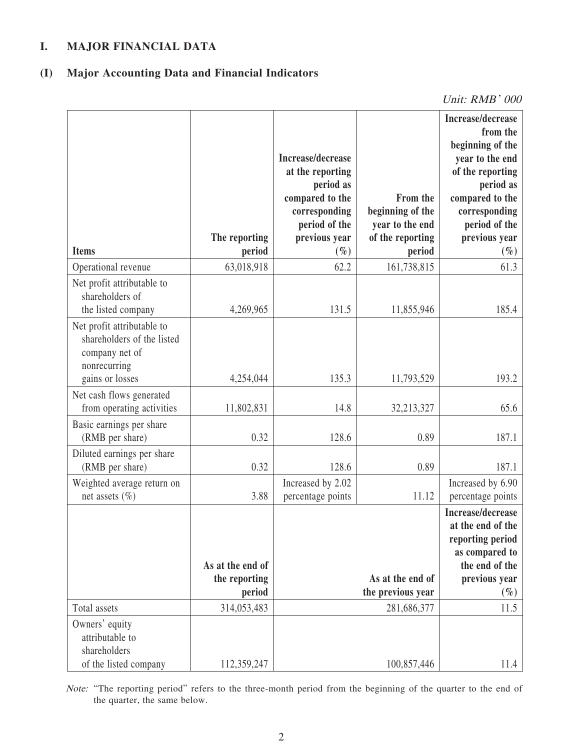### **I. MAJOR FINANCIAL DATA**

## **(I) Major Accounting Data and Financial Indicators**

Unit: RMB' 000

| <b>Items</b>                                                                                                  | The reporting<br>period | Increase/decrease<br>at the reporting<br>period as<br>compared to the<br>corresponding<br>period of the<br>previous year<br>$(\%)$ | From the<br>beginning of the<br>year to the end<br>of the reporting<br>period | Increase/decrease<br>from the<br>beginning of the<br>year to the end<br>of the reporting<br>period as<br>compared to the<br>corresponding<br>period of the<br>previous year<br>$(\%)$ |
|---------------------------------------------------------------------------------------------------------------|-------------------------|------------------------------------------------------------------------------------------------------------------------------------|-------------------------------------------------------------------------------|---------------------------------------------------------------------------------------------------------------------------------------------------------------------------------------|
| Operational revenue                                                                                           | 63,018,918              | 62.2                                                                                                                               | 161,738,815                                                                   | 61.3                                                                                                                                                                                  |
| Net profit attributable to<br>shareholders of<br>the listed company                                           | 4,269,965               | 131.5                                                                                                                              | 11,855,946                                                                    | 185.4                                                                                                                                                                                 |
| Net profit attributable to<br>shareholders of the listed<br>company net of<br>nonrecurring<br>gains or losses | 4,254,044               | 135.3                                                                                                                              | 11,793,529                                                                    | 193.2                                                                                                                                                                                 |
| Net cash flows generated<br>from operating activities                                                         | 11,802,831              | 14.8                                                                                                                               | 32,213,327                                                                    | 65.6                                                                                                                                                                                  |
| Basic earnings per share<br>(RMB per share)                                                                   | 0.32                    | 128.6                                                                                                                              | 0.89                                                                          | 187.1                                                                                                                                                                                 |
| Diluted earnings per share<br>(RMB per share)                                                                 | 0.32                    | 128.6                                                                                                                              | 0.89                                                                          | 187.1                                                                                                                                                                                 |
| Weighted average return on<br>net assets $(\% )$                                                              | 3.88                    | Increased by 2.02<br>percentage points                                                                                             | 11.12                                                                         | Increased by 6.90<br>percentage points                                                                                                                                                |
|                                                                                                               | As at the end of        |                                                                                                                                    |                                                                               | Increase/decrease<br>at the end of the<br>reporting period<br>as compared to<br>the end of the                                                                                        |
|                                                                                                               | the reporting           |                                                                                                                                    | As at the end of                                                              | previous year                                                                                                                                                                         |
| Total assets                                                                                                  | period<br>314,053,483   |                                                                                                                                    | the previous year<br>281,686,377                                              | $(\%)$<br>11.5                                                                                                                                                                        |
| Owners' equity<br>attributable to<br>shareholders<br>of the listed company                                    | 112,359,247             |                                                                                                                                    | 100,857,446                                                                   | 11.4                                                                                                                                                                                  |

Note: "The reporting period" refers to the three-month period from the beginning of the quarter to the end of the quarter, the same below.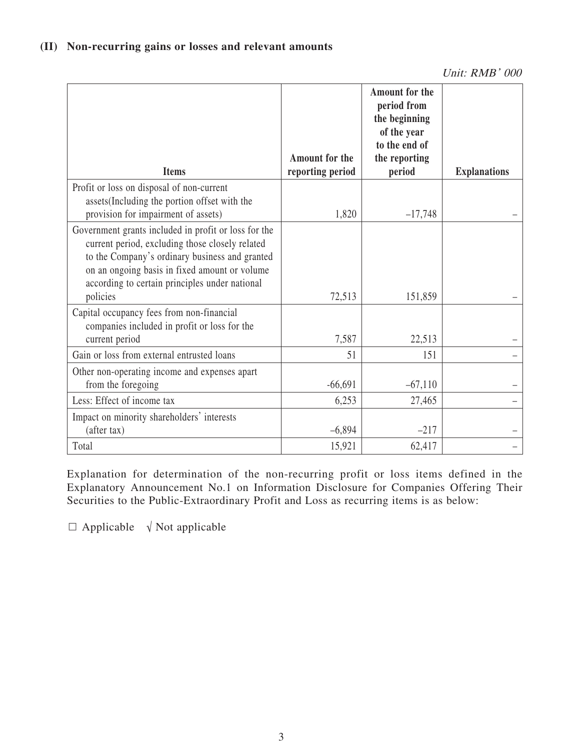| <b>Items</b>                                                                                                                                                                                                                                                             | Amount for the<br>reporting period | <b>Amount for the</b><br>period from<br>the beginning<br>of the year<br>to the end of<br>the reporting<br>period | <b>Explanations</b> |
|--------------------------------------------------------------------------------------------------------------------------------------------------------------------------------------------------------------------------------------------------------------------------|------------------------------------|------------------------------------------------------------------------------------------------------------------|---------------------|
|                                                                                                                                                                                                                                                                          |                                    |                                                                                                                  |                     |
| Profit or loss on disposal of non-current<br>assets (Including the portion offset with the<br>provision for impairment of assets)                                                                                                                                        | 1,820                              | $-17,748$                                                                                                        |                     |
| Government grants included in profit or loss for the<br>current period, excluding those closely related<br>to the Company's ordinary business and granted<br>on an ongoing basis in fixed amount or volume<br>according to certain principles under national<br>policies | 72,513                             | 151,859                                                                                                          |                     |
| Capital occupancy fees from non-financial<br>companies included in profit or loss for the                                                                                                                                                                                |                                    |                                                                                                                  |                     |
| current period                                                                                                                                                                                                                                                           | 7,587                              | 22,513                                                                                                           |                     |
| Gain or loss from external entrusted loans                                                                                                                                                                                                                               | 51                                 | 151                                                                                                              |                     |
| Other non-operating income and expenses apart<br>from the foregoing                                                                                                                                                                                                      | $-66,691$                          | $-67,110$                                                                                                        |                     |
| Less: Effect of income tax                                                                                                                                                                                                                                               | 6,253                              | 27,465                                                                                                           |                     |
| Impact on minority shareholders' interests<br>(after tax)                                                                                                                                                                                                                | $-6,894$                           | $-217$                                                                                                           |                     |
| Total                                                                                                                                                                                                                                                                    | 15,921                             | 62,417                                                                                                           |                     |

Explanation for determination of the non-recurring profit or loss items defined in the Explanatory Announcement No.1 on Information Disclosure for Companies Offering Their Securities to the Public-Extraordinary Profit and Loss as recurring items is as below:

 $\Box$  Applicable  $\sqrt{\ }$  Not applicable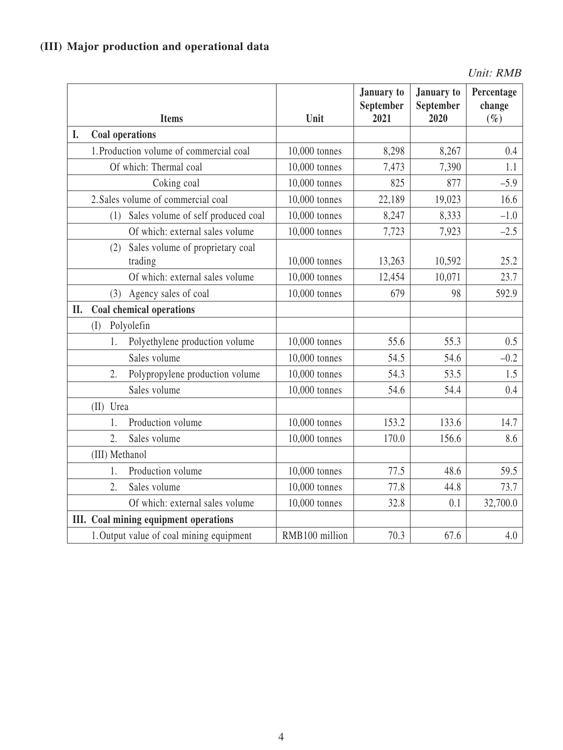## **(III) Major production and operational data**

Unit: RMB

|     | <b>Items</b>                                       | Unit           | January to<br>September<br>2021 | <b>January</b> to<br>September<br>2020 | Percentage<br>change<br>$(\%)$ |
|-----|----------------------------------------------------|----------------|---------------------------------|----------------------------------------|--------------------------------|
| I.  | Coal operations                                    |                |                                 |                                        |                                |
|     | 1. Production volume of commercial coal            | 10,000 tonnes  | 8,298                           | 8,267                                  | 0.4                            |
|     | Of which: Thermal coal                             | 10,000 tonnes  | 7,473                           | 7,390                                  | 1.1                            |
|     | Coking coal                                        | 10,000 tonnes  | 825                             | 877                                    | $-5.9$                         |
|     | 2. Sales volume of commercial coal                 | 10,000 tonnes  | 22,189                          | 19,023                                 | 16.6                           |
|     | Sales volume of self produced coal<br>(1)          | 10,000 tonnes  | 8,247                           | 8,333                                  | $-1.0$                         |
|     | Of which: external sales volume                    | 10,000 tonnes  | 7,723                           | 7,923                                  | $-2.5$                         |
|     | Sales volume of proprietary coal<br>(2)<br>trading | 10,000 tonnes  | 13,263                          | 10,592                                 | 25.2                           |
|     | Of which: external sales volume                    | 10,000 tonnes  | 12,454                          | 10,071                                 | 23.7                           |
|     | Agency sales of coal<br>(3)                        | 10,000 tonnes  | 679                             | 98                                     | 592.9                          |
| II. | Coal chemical operations                           |                |                                 |                                        |                                |
|     | Polyolefin<br>(I)                                  |                |                                 |                                        |                                |
|     | Polyethylene production volume<br>1.               | 10,000 tonnes  | 55.6                            | 55.3                                   | 0.5                            |
|     | Sales volume                                       | 10,000 tonnes  | 54.5                            | 54.6                                   | $-0.2$                         |
|     | 2.<br>Polypropylene production volume              | 10,000 tonnes  | 54.3                            | 53.5                                   | 1.5                            |
|     | Sales volume                                       | 10,000 tonnes  | 54.6                            | 54.4                                   | 0.4                            |
|     | (II) Urea                                          |                |                                 |                                        |                                |
|     | Production volume<br>1.                            | 10,000 tonnes  | 153.2                           | 133.6                                  | 14.7                           |
|     | 2.<br>Sales volume                                 | 10,000 tonnes  | 170.0                           | 156.6                                  | 8.6                            |
|     | (III) Methanol                                     |                |                                 |                                        |                                |
|     | Production volume<br>1.                            | 10,000 tonnes  | 77.5                            | 48.6                                   | 59.5                           |
|     | 2.<br>Sales volume                                 | 10,000 tonnes  | 77.8                            | 44.8                                   | 73.7                           |
|     | Of which: external sales volume                    | 10,000 tonnes  | 32.8                            | 0.1                                    | 32,700.0                       |
|     | III. Coal mining equipment operations              |                |                                 |                                        |                                |
|     | 1. Output value of coal mining equipment           | RMB100 million | 70.3                            | 67.6                                   | 4.0                            |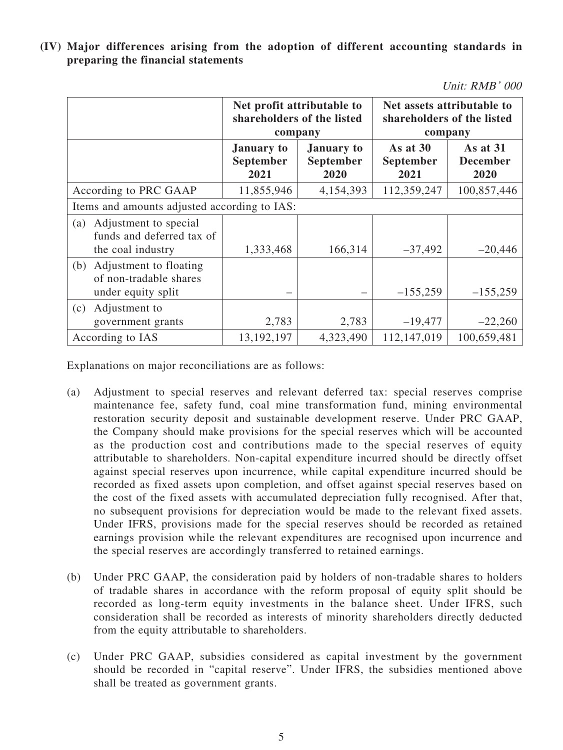**(IV) Major differences arising from the adoption of different accounting standards in preparing the financial statements**

|  | Unit: RMB' 000 |  |
|--|----------------|--|
|--|----------------|--|

|                                                                                                | Net profit attributable to<br>shareholders of the listed<br>company |           | Net assets attributable to<br>shareholders of the listed<br>company |                                     |  |
|------------------------------------------------------------------------------------------------|---------------------------------------------------------------------|-----------|---------------------------------------------------------------------|-------------------------------------|--|
| <b>January to</b><br><b>January</b> to<br><b>September</b><br><b>September</b><br>2021<br>2020 |                                                                     |           | As at $30$<br><b>September</b><br>2021                              | As at 31<br><b>December</b><br>2020 |  |
| According to PRC GAAP                                                                          | 11,855,946                                                          | 4,154,393 | 112,359,247                                                         | 100,857,446                         |  |
| Items and amounts adjusted according to IAS:                                                   |                                                                     |           |                                                                     |                                     |  |
| Adjustment to special<br>(a)<br>funds and deferred tax of<br>the coal industry                 | 1,333,468                                                           | 166,314   | $-37,492$                                                           | $-20,446$                           |  |
| Adjustment to floating<br>(b)<br>of non-tradable shares<br>under equity split                  |                                                                     |           | $-155,259$                                                          | $-155,259$                          |  |
| Adjustment to<br>(c)<br>government grants                                                      | 2,783                                                               | 2,783     | $-19,477$                                                           | $-22,260$                           |  |
| According to IAS                                                                               | 13, 192, 197                                                        | 4,323,490 | 112,147,019                                                         | 100,659,481                         |  |

Explanations on major reconciliations are as follows:

- (a) Adjustment to special reserves and relevant deferred tax: special reserves comprise maintenance fee, safety fund, coal mine transformation fund, mining environmental restoration security deposit and sustainable development reserve. Under PRC GAAP, the Company should make provisions for the special reserves which will be accounted as the production cost and contributions made to the special reserves of equity attributable to shareholders. Non-capital expenditure incurred should be directly offset against special reserves upon incurrence, while capital expenditure incurred should be recorded as fixed assets upon completion, and offset against special reserves based on the cost of the fixed assets with accumulated depreciation fully recognised. After that, no subsequent provisions for depreciation would be made to the relevant fixed assets. Under IFRS, provisions made for the special reserves should be recorded as retained earnings provision while the relevant expenditures are recognised upon incurrence and the special reserves are accordingly transferred to retained earnings.
- (b) Under PRC GAAP, the consideration paid by holders of non-tradable shares to holders of tradable shares in accordance with the reform proposal of equity split should be recorded as long-term equity investments in the balance sheet. Under IFRS, such consideration shall be recorded as interests of minority shareholders directly deducted from the equity attributable to shareholders.
- (c) Under PRC GAAP, subsidies considered as capital investment by the government should be recorded in "capital reserve". Under IFRS, the subsidies mentioned above shall be treated as government grants.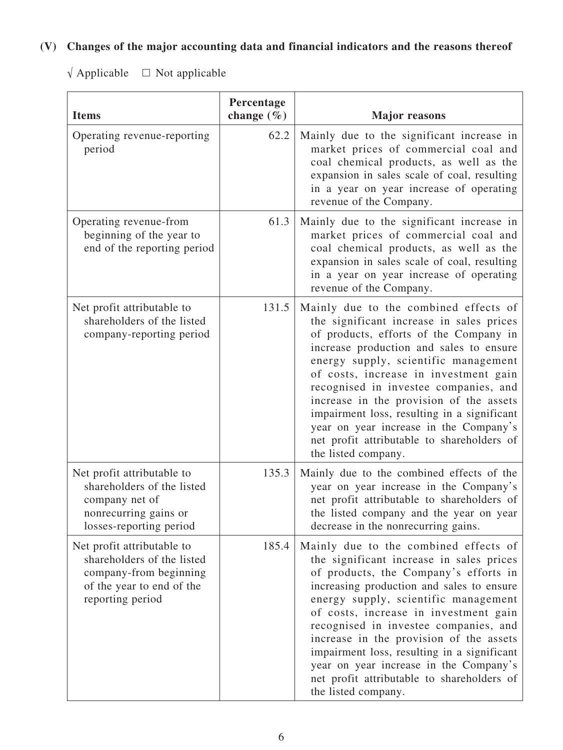# **(V) Changes of the major accounting data and financial indicators and the reasons thereof**

 $\sqrt{\text{Applied}} = \square$  Not applicable

| <b>Items</b>                                                                                                                        | Percentage<br>change $(\% )$ | <b>Major reasons</b>                                                                                                                                                                                                                                                                                                                                                                                                                                                                                       |
|-------------------------------------------------------------------------------------------------------------------------------------|------------------------------|------------------------------------------------------------------------------------------------------------------------------------------------------------------------------------------------------------------------------------------------------------------------------------------------------------------------------------------------------------------------------------------------------------------------------------------------------------------------------------------------------------|
| Operating revenue-reporting<br>period                                                                                               | 62.2                         | Mainly due to the significant increase in<br>market prices of commercial coal and<br>coal chemical products, as well as the<br>expansion in sales scale of coal, resulting<br>in a year on year increase of operating<br>revenue of the Company.                                                                                                                                                                                                                                                           |
| Operating revenue-from<br>beginning of the year to<br>end of the reporting period                                                   | 61.3                         | Mainly due to the significant increase in<br>market prices of commercial coal and<br>coal chemical products, as well as the<br>expansion in sales scale of coal, resulting<br>in a year on year increase of operating<br>revenue of the Company.                                                                                                                                                                                                                                                           |
| Net profit attributable to<br>shareholders of the listed<br>company-reporting period                                                | 131.5                        | Mainly due to the combined effects of<br>the significant increase in sales prices<br>of products, efforts of the Company in<br>increase production and sales to ensure<br>energy supply, scientific management<br>of costs, increase in investment gain<br>recognised in investee companies, and<br>increase in the provision of the assets<br>impairment loss, resulting in a significant<br>year on year increase in the Company's<br>net profit attributable to shareholders of<br>the listed company.  |
| Net profit attributable to<br>shareholders of the listed<br>company net of<br>nonrecurring gains or<br>losses-reporting period      | 135.3                        | Mainly due to the combined effects of the<br>year on year increase in the Company's<br>net profit attributable to shareholders of<br>the listed company and the year on year<br>decrease in the nonrecurring gains.                                                                                                                                                                                                                                                                                        |
| Net profit attributable to<br>shareholders of the listed<br>company-from beginning<br>of the year to end of the<br>reporting period | 185.4                        | Mainly due to the combined effects of<br>the significant increase in sales prices<br>of products, the Company's efforts in<br>increasing production and sales to ensure<br>energy supply, scientific management<br>of costs, increase in investment gain<br>recognised in investee companies, and<br>increase in the provision of the assets<br>impairment loss, resulting in a significant<br>year on year increase in the Company's<br>net profit attributable to shareholders of<br>the listed company. |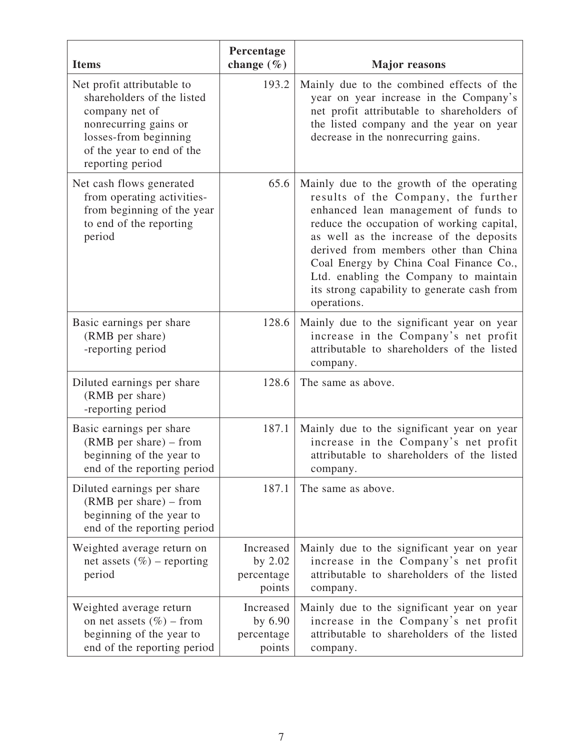| <b>Items</b>                                                                                                                                                                  | Percentage<br>change $(\% )$                 | <b>Major</b> reasons                                                                                                                                                                                                                                                                                                                                                                                       |
|-------------------------------------------------------------------------------------------------------------------------------------------------------------------------------|----------------------------------------------|------------------------------------------------------------------------------------------------------------------------------------------------------------------------------------------------------------------------------------------------------------------------------------------------------------------------------------------------------------------------------------------------------------|
| Net profit attributable to<br>shareholders of the listed<br>company net of<br>nonrecurring gains or<br>losses-from beginning<br>of the year to end of the<br>reporting period | 193.2                                        | Mainly due to the combined effects of the<br>year on year increase in the Company's<br>net profit attributable to shareholders of<br>the listed company and the year on year<br>decrease in the nonrecurring gains.                                                                                                                                                                                        |
| Net cash flows generated<br>from operating activities-<br>from beginning of the year<br>to end of the reporting<br>period                                                     | 65.6                                         | Mainly due to the growth of the operating<br>results of the Company, the further<br>enhanced lean management of funds to<br>reduce the occupation of working capital,<br>as well as the increase of the deposits<br>derived from members other than China<br>Coal Energy by China Coal Finance Co.,<br>Ltd. enabling the Company to maintain<br>its strong capability to generate cash from<br>operations. |
| Basic earnings per share<br>(RMB per share)<br>-reporting period                                                                                                              | 128.6                                        | Mainly due to the significant year on year<br>increase in the Company's net profit<br>attributable to shareholders of the listed<br>company.                                                                                                                                                                                                                                                               |
| Diluted earnings per share<br>(RMB per share)<br>-reporting period                                                                                                            | 128.6                                        | The same as above.                                                                                                                                                                                                                                                                                                                                                                                         |
| Basic earnings per share<br>$(RMB \text{ per share}) - from$<br>beginning of the year to<br>end of the reporting period                                                       | 187.1                                        | Mainly due to the significant year on year<br>increase in the Company's net profit<br>attributable to shareholders of the listed<br>company.                                                                                                                                                                                                                                                               |
| Diluted earnings per share<br>$(RMB \text{ per share}) - from$<br>beginning of the year to<br>end of the reporting period                                                     | 187.1                                        | The same as above.                                                                                                                                                                                                                                                                                                                                                                                         |
| Weighted average return on<br>net assets $(\%)$ – reporting<br>period                                                                                                         | Increased<br>by 2.02<br>percentage<br>points | Mainly due to the significant year on year<br>increase in the Company's net profit<br>attributable to shareholders of the listed<br>company.                                                                                                                                                                                                                                                               |
| Weighted average return<br>on net assets $(\% )$ – from<br>beginning of the year to<br>end of the reporting period                                                            | Increased<br>by 6.90<br>percentage<br>points | Mainly due to the significant year on year<br>increase in the Company's net profit<br>attributable to shareholders of the listed<br>company.                                                                                                                                                                                                                                                               |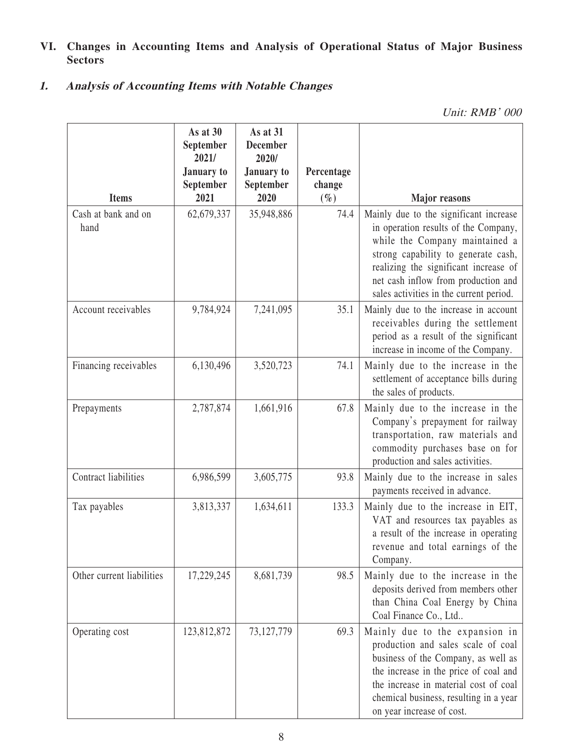## **VI. Changes in Accounting Items and Analysis of Operational Status of Major Business Sectors**

## **1. Analysis of Accounting Items with Notable Changes**

Unit: RMB' 000

|                             | As at 30<br>September<br>2021/<br>January to<br>September | As at 31<br><b>December</b><br>2020/<br>January to<br>September | Percentage<br>change |                                                                                                                                                                                                                                                                                    |
|-----------------------------|-----------------------------------------------------------|-----------------------------------------------------------------|----------------------|------------------------------------------------------------------------------------------------------------------------------------------------------------------------------------------------------------------------------------------------------------------------------------|
| <b>Items</b>                | 2021                                                      | 2020                                                            | $(\%)$               | <b>Major</b> reasons                                                                                                                                                                                                                                                               |
| Cash at bank and on<br>hand | 62,679,337                                                | 35,948,886                                                      | 74.4                 | Mainly due to the significant increase<br>in operation results of the Company,<br>while the Company maintained a<br>strong capability to generate cash,<br>realizing the significant increase of<br>net cash inflow from production and<br>sales activities in the current period. |
| Account receivables         | 9,784,924                                                 | 7,241,095                                                       | 35.1                 | Mainly due to the increase in account<br>receivables during the settlement<br>period as a result of the significant<br>increase in income of the Company.                                                                                                                          |
| Financing receivables       | 6,130,496                                                 | 3,520,723                                                       | 74.1                 | Mainly due to the increase in the<br>settlement of acceptance bills during<br>the sales of products.                                                                                                                                                                               |
| Prepayments                 | 2,787,874                                                 | 1,661,916                                                       | 67.8                 | Mainly due to the increase in the<br>Company's prepayment for railway<br>transportation, raw materials and<br>commodity purchases base on for<br>production and sales activities.                                                                                                  |
| Contract liabilities        | 6,986,599                                                 | 3,605,775                                                       | 93.8                 | Mainly due to the increase in sales<br>payments received in advance.                                                                                                                                                                                                               |
| Tax payables                | 3,813,337                                                 | 1,634,611                                                       | 133.3                | Mainly due to the increase in EIT,<br>VAT and resources tax payables as<br>a result of the increase in operating<br>revenue and total earnings of the<br>Company.                                                                                                                  |
| Other current liabilities   | 17,229,245                                                | 8,681,739                                                       | 98.5                 | Mainly due to the increase in the<br>deposits derived from members other<br>than China Coal Energy by China<br>Coal Finance Co., Ltd                                                                                                                                               |
| Operating cost              | 123,812,872                                               | 73, 127, 779                                                    | 69.3                 | Mainly due to the expansion in<br>production and sales scale of coal<br>business of the Company, as well as<br>the increase in the price of coal and<br>the increase in material cost of coal<br>chemical business, resulting in a year<br>on year increase of cost.               |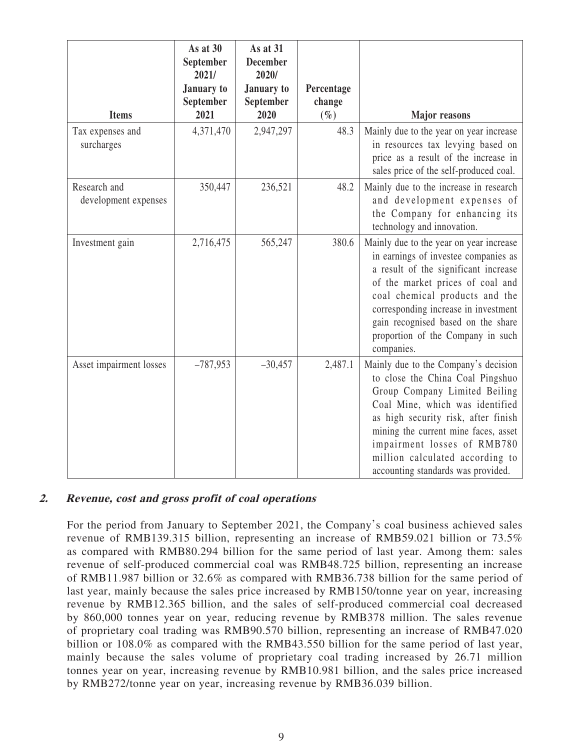| <b>Items</b>                         | As at 30<br>September<br>2021/<br><b>January</b> to<br>September<br>2021 | As at 31<br><b>December</b><br>2020/<br><b>January</b> to<br>September<br>2020 | Percentage<br>change<br>$(\%)$ | <b>Major</b> reasons                                                                                                                                                                                                                                                                                                                |
|--------------------------------------|--------------------------------------------------------------------------|--------------------------------------------------------------------------------|--------------------------------|-------------------------------------------------------------------------------------------------------------------------------------------------------------------------------------------------------------------------------------------------------------------------------------------------------------------------------------|
| Tax expenses and<br>surcharges       | 4,371,470                                                                | 2,947,297                                                                      | 48.3                           | Mainly due to the year on year increase<br>in resources tax levying based on<br>price as a result of the increase in<br>sales price of the self-produced coal.                                                                                                                                                                      |
| Research and<br>development expenses | 350,447                                                                  | 236,521                                                                        | 48.2                           | Mainly due to the increase in research<br>and development expenses of<br>the Company for enhancing its<br>technology and innovation.                                                                                                                                                                                                |
| Investment gain                      | 2,716,475                                                                | 565,247                                                                        | 380.6                          | Mainly due to the year on year increase<br>in earnings of investee companies as<br>a result of the significant increase<br>of the market prices of coal and<br>coal chemical products and the<br>corresponding increase in investment<br>gain recognised based on the share<br>proportion of the Company in such<br>companies.      |
| Asset impairment losses              | $-787,953$                                                               | $-30,457$                                                                      | 2,487.1                        | Mainly due to the Company's decision<br>to close the China Coal Pingshuo<br>Group Company Limited Beiling<br>Coal Mine, which was identified<br>as high security risk, after finish<br>mining the current mine faces, asset<br>impairment losses of RMB780<br>million calculated according to<br>accounting standards was provided. |

### **2. Revenue, cost and gross profit of coal operations**

For the period from January to September 2021, the Company's coal business achieved sales revenue of RMB139.315 billion, representing an increase of RMB59.021 billion or 73.5% as compared with RMB80.294 billion for the same period of last year. Among them: sales revenue of self-produced commercial coal was RMB48.725 billion, representing an increase of RMB11.987 billion or 32.6% as compared with RMB36.738 billion for the same period of last year, mainly because the sales price increased by RMB150/tonne year on year, increasing revenue by RMB12.365 billion, and the sales of self-produced commercial coal decreased by 860,000 tonnes year on year, reducing revenue by RMB378 million. The sales revenue of proprietary coal trading was RMB90.570 billion, representing an increase of RMB47.020 billion or 108.0% as compared with the RMB43.550 billion for the same period of last year, mainly because the sales volume of proprietary coal trading increased by 26.71 million tonnes year on year, increasing revenue by RMB10.981 billion, and the sales price increased by RMB272/tonne year on year, increasing revenue by RMB36.039 billion.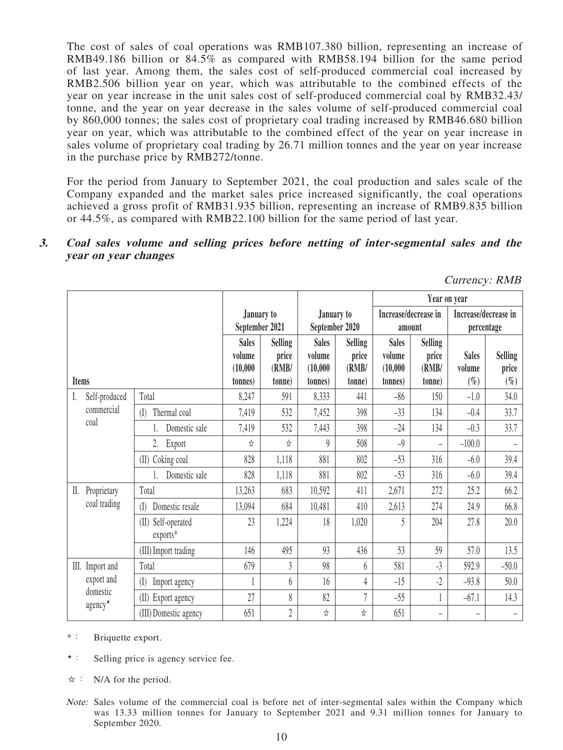The cost of sales of coal operations was RMB107.380 billion, representing an increase of RMB49.186 billion or 84.5% as compared with RMB58.194 billion for the same period of last year. Among them, the sales cost of self-produced commercial coal increased by RMB2.506 billion year on year, which was attributable to the combined effects of the year on year increase in the unit sales cost of self-produced commercial coal by RMB32.43/ tonne, and the year on year decrease in the sales volume of self-produced commercial coal by 860,000 tonnes; the sales cost of proprietary coal trading increased by RMB46.680 billion year on year, which was attributable to the combined effect of the year on year increase in sales volume of proprietary coal trading by 26.71 million tonnes and the year on year increase in the purchase price by RMB272/tonne.

For the period from January to September 2021, the coal production and sales scale of the Company expanded and the market sales price increased significantly, the coal operations achieved a gross profit of RMB31.935 billion, representing an increase of RMB9.835 billion or 44.5%, as compared with RMB22.100 billion for the same period of last year.

#### **3. Coal sales volume and selling prices before netting of inter-segmental sales and the year on year changes**

|       |                                 |                                   |                |                |                  |                | Year on year         |                          |                          |                          |
|-------|---------------------------------|-----------------------------------|----------------|----------------|------------------|----------------|----------------------|--------------------------|--------------------------|--------------------------|
|       |                                 |                                   | January to     |                | January to       |                | Increase/decrease in | Increase/decrease in     |                          |                          |
|       |                                 |                                   | September 2021 |                | September 2020   |                | amount               |                          | percentage               |                          |
|       |                                 |                                   | <b>Sales</b>   | <b>Selling</b> | <b>Sales</b>     | <b>Selling</b> | <b>Sales</b>         | <b>Selling</b>           |                          |                          |
|       |                                 |                                   | volume         | price          | volume           | price          | volume               | price                    | <b>Sales</b>             | <b>Selling</b>           |
|       |                                 |                                   | (10,000)       | (RMB)          | (10,000)         | (RMB/          | (10,000)             | (RMB/                    | volume                   | price                    |
| Items |                                 |                                   | tonnes)        | (tonne         | (tonnes)         | tonne)         | (tonnes)             | (tonne                   | $(\%)$                   | $(\%)$                   |
| I.    | Self-produced                   | Total                             | 8,247          | 591            | 8,333            | 441            | $-86$                | 150                      | $-1.0$                   | 34.0                     |
|       | commercial                      | Thermal coal<br>(I)               | 7,419          | 532            | 7,452            | 398            | $-33$                | 134                      | $-0.4$                   | 33.7                     |
|       | coal                            | Domestic sale                     | 7,419          | 532            | 7,443            | 398            | $-24$                | 134                      | $-0.3$                   | 33.7                     |
|       |                                 | Export<br>2.                      | ☆              | ☆              | $\boldsymbol{Q}$ | 508            | $-9$                 | $\overline{\phantom{0}}$ | $-100.0$                 |                          |
|       |                                 | (II) Coking coal                  | 828            | 1,118          | 881              | 802            | $-53$                | 316                      | $-6.0$                   | 39.4                     |
|       |                                 | Domestic sale                     | 828            | 1,118          | 881              | 802            | $-53$                | 316                      | $-6.0$                   | 39.4                     |
| II.   | Proprietary                     | Total                             | 13,263         | 683            | 10,592           | 411            | 2,671                | 272                      | 25.2                     | 66.2                     |
|       | coal trading                    | Domestic resale<br>(I)            | 13,094         | 684            | 10,481           | 410            | 2,613                | 274                      | 24.9                     | 66.8                     |
|       |                                 | Self-operated<br>(II)<br>exports* | 23             | 1,224          | 18               | 1,020          | 5                    | 204                      | 27.8                     | 20.0                     |
|       |                                 | (III) Import trading              | 146            | 495            | 93               | 436            | 53                   | 59                       | 57.0                     | 13.5                     |
|       | III. Import and                 | Total                             | 679            | 3              | 98               | 6              | 581                  | $-3$                     | 592.9                    | $-50.0$                  |
|       | export and                      | $\rm (I)$<br>Import agency        |                | 6              | 16               | $\overline{4}$ | $-15$                | $-2$                     | $-93.8$                  | 50.0                     |
|       | domestic<br>agency <sup>*</sup> | Export agency<br>(II)             | 27             | 8              | 82               | 7              | $-55$                |                          | $-67.1$                  | 14.3                     |
|       |                                 | (III) Domestic agency             | 651            | $\overline{2}$ | ☆                | ☆              | 651                  | $\overline{\phantom{0}}$ | $\overline{\phantom{0}}$ | $\overline{\phantom{m}}$ |

Currency: RMB

\*: Briquette export.

★: Selling price is agency service fee.

 $\hat{x}$ : N/A for the period.

Note: Sales volume of the commercial coal is before net of inter-segmental sales within the Company which was 13.33 million tonnes for January to September 2021 and 9.31 million tonnes for January to September 2020.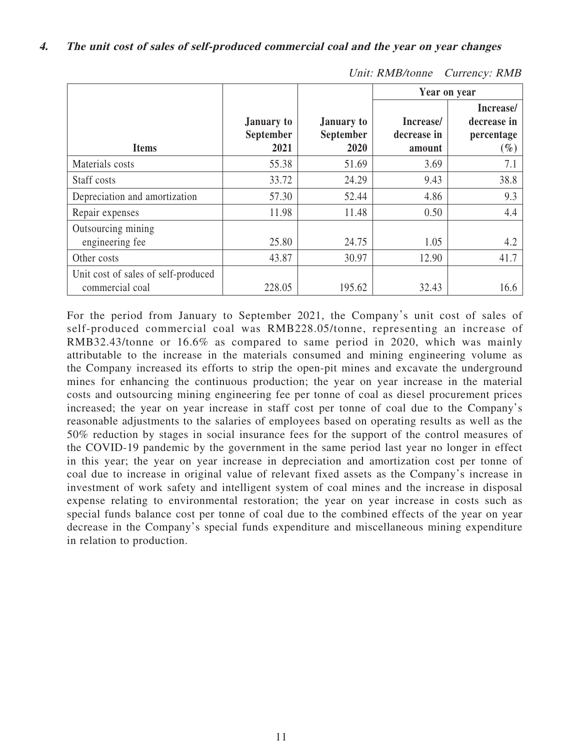|                                                        |                                        |                                        |                                    | Year on year                                     |
|--------------------------------------------------------|----------------------------------------|----------------------------------------|------------------------------------|--------------------------------------------------|
| <b>Items</b>                                           | <b>January to</b><br>September<br>2021 | <b>January to</b><br>September<br>2020 | Increase/<br>decrease in<br>amount | Increase/<br>decrease in<br>percentage<br>$(\%)$ |
| Materials costs                                        | 55.38                                  | 51.69                                  | 3.69                               | 7.1                                              |
| Staff costs                                            | 33.72                                  | 24.29                                  | 9.43                               | 38.8                                             |
| Depreciation and amortization                          | 57.30                                  | 52.44                                  | 4.86                               | 9.3                                              |
| Repair expenses                                        | 11.98                                  | 11.48                                  | 0.50                               | 4.4                                              |
| Outsourcing mining<br>engineering fee                  | 25.80                                  | 24.75                                  | 1.05                               | 4.2                                              |
| Other costs                                            | 43.87                                  | 30.97                                  | 12.90                              | 41.7                                             |
| Unit cost of sales of self-produced<br>commercial coal | 228.05                                 | 195.62                                 | 32.43                              | 16.6                                             |

For the period from January to September 2021, the Company's unit cost of sales of self-produced commercial coal was RMB228.05/tonne, representing an increase of RMB32.43/tonne or 16.6% as compared to same period in 2020, which was mainly attributable to the increase in the materials consumed and mining engineering volume as the Company increased its efforts to strip the open-pit mines and excavate the underground mines for enhancing the continuous production; the year on year increase in the material costs and outsourcing mining engineering fee per tonne of coal as diesel procurement prices increased; the year on year increase in staff cost per tonne of coal due to the Company's reasonable adjustments to the salaries of employees based on operating results as well as the 50% reduction by stages in social insurance fees for the support of the control measures of the COVID-19 pandemic by the government in the same period last year no longer in effect in this year; the year on year increase in depreciation and amortization cost per tonne of coal due to increase in original value of relevant fixed assets as the Company's increase in investment of work safety and intelligent system of coal mines and the increase in disposal expense relating to environmental restoration; the year on year increase in costs such as special funds balance cost per tonne of coal due to the combined effects of the year on year decrease in the Company's special funds expenditure and miscellaneous mining expenditure in relation to production.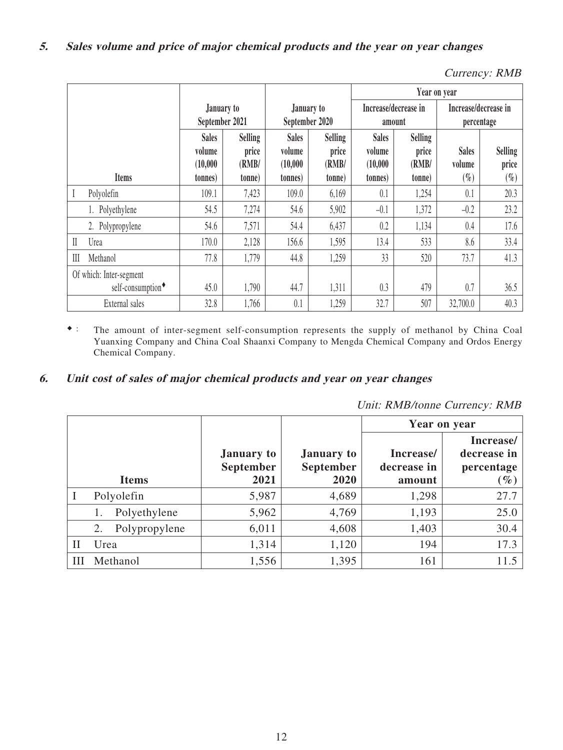| Currency: RMB |  |
|---------------|--|
|---------------|--|

|              |                                                          |                                               |                                            |                                                |                                            | Year on year                                   |                                            |                                    |                                   |
|--------------|----------------------------------------------------------|-----------------------------------------------|--------------------------------------------|------------------------------------------------|--------------------------------------------|------------------------------------------------|--------------------------------------------|------------------------------------|-----------------------------------|
|              |                                                          | January to<br>September 2021                  |                                            | January to<br>September 2020                   |                                            | Increase/decrease in<br>amount                 |                                            | Increase/decrease in<br>percentage |                                   |
|              | <b>Items</b>                                             | <b>Sales</b><br>volume<br>(10,000)<br>tonnes) | <b>Selling</b><br>price<br>(RMB/<br>(tonne | <b>Sales</b><br>volume<br>(10,000)<br>(tonnes) | <b>Selling</b><br>price<br>(RMB/<br>(tonne | <b>Sales</b><br>volume<br>(10,000)<br>(tonnes) | <b>Selling</b><br>price<br>(RMB/<br>(tonne | <b>Sales</b><br>volume<br>$(\%)$   | <b>Selling</b><br>price<br>$(\%)$ |
|              | Polyolefin                                               | 109.1                                         | 7,423                                      | 109.0                                          | 6,169                                      | 0.1                                            | 1,254                                      | 0.1                                | 20.3                              |
|              | 1. Polyethylene                                          | 54.5                                          | 7,274                                      | 54.6                                           | 5,902                                      | $-0.1$                                         | 1,372                                      | $-0.2$                             | 23.2                              |
|              | 2. Polypropylene                                         | 54.6                                          | 7,571                                      | 54.4                                           | 6,437                                      | 0.2                                            | 1,134                                      | 0.4                                | 17.6                              |
| $\mathbb{I}$ | Urea                                                     | 170.0                                         | 2,128                                      | 156.6                                          | 1,595                                      | 13.4                                           | 533                                        | 8.6                                | 33.4                              |
| III          | Methanol                                                 | 77.8                                          | 1,779                                      | 44.8                                           | 1,259                                      | 33                                             | 520                                        | 73.7                               | 41.3                              |
|              | Of which: Inter-segment<br>self-consumption <sup>+</sup> | 45.0                                          | 1,790                                      | 44.7                                           | 1,311                                      | 0.3                                            | 479                                        | 0.7                                | 36.5                              |
|              | External sales                                           | 32.8                                          | 1,766                                      | 0.1                                            | 1,259                                      | 32.7                                           | 507                                        | 32,700.0                           | 40.3                              |

◆: The amount of inter-segment self-consumption represents the supply of methanol by China Coal Yuanxing Company and China Coal Shaanxi Company to Mengda Chemical Company and Ordos Energy Chemical Company.

## **6. Unit cost of sales of major chemical products and year on year changes**

Unit: RMB/tonne Currency: RMB

|   |                     |                                               |                                               | Year on year                       |                                                  |
|---|---------------------|-----------------------------------------------|-----------------------------------------------|------------------------------------|--------------------------------------------------|
|   | <b>Items</b>        | <b>January to</b><br><b>September</b><br>2021 | <b>January to</b><br><b>September</b><br>2020 | Increase/<br>decrease in<br>amount | Increase/<br>decrease in<br>percentage<br>$(\%)$ |
|   | Polyolefin          | 5,987                                         | 4,689                                         | 1,298                              | 27.7                                             |
|   | Polyethylene        | 5,962                                         | 4,769                                         | 1,193                              | 25.0                                             |
|   | Polypropylene<br>2. | 6,011                                         | 4,608                                         | 1,403                              | 30.4                                             |
| П | Urea                | 1,314                                         | 1,120                                         | 194                                | 17.3                                             |
| Ш | Methanol            | 1,556                                         | 1,395                                         | 161                                | 11.5                                             |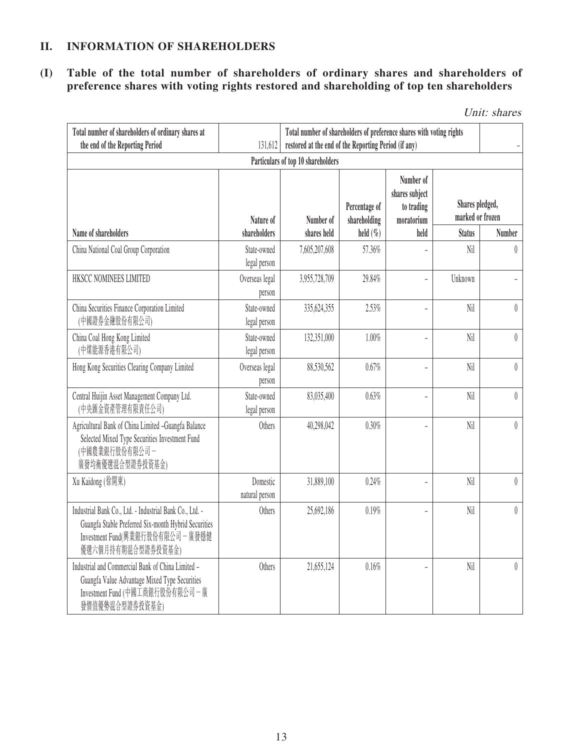## **II. INFORMATION OF SHAREHOLDERS**

### **(I) Table of the total number of shareholders of ordinary shares and shareholders of preference shares with voting rights restored and shareholding of top ten shareholders**

Unit: shares

| Total number of shareholders of ordinary shares at<br>the end of the Reporting Period                                                                                      | 131,612                     | Total number of shareholders of preference shares with voting rights<br>restored at the end of the Reporting Period (if any)                |              |                          |                                     |                  |
|----------------------------------------------------------------------------------------------------------------------------------------------------------------------------|-----------------------------|---------------------------------------------------------------------------------------------------------------------------------------------|--------------|--------------------------|-------------------------------------|------------------|
|                                                                                                                                                                            | Nature of                   | Particulars of top 10 shareholders<br>Number of<br>shares subject<br>Percentage of<br>to trading<br>Number of<br>shareholding<br>moratorium |              |                          | Shares pledged,<br>marked or frozen |                  |
| Name of shareholders                                                                                                                                                       | shareholders                | shares held                                                                                                                                 | held $(\% )$ | held                     | <b>Status</b>                       | <b>Number</b>    |
| China National Coal Group Corporation                                                                                                                                      | State-owned<br>legal person | 7,605,207,608                                                                                                                               | 57.36%       |                          | Nil                                 | $\theta$         |
| HKSCC NOMINEES LIMITED                                                                                                                                                     | Overseas legal<br>person    | 3,955,728,709                                                                                                                               | 29.84%       |                          | Unknown                             |                  |
| China Securities Finance Corporation Limited<br>(中國證券金融股份有限公司)                                                                                                             | State-owned<br>legal person | 335,624,355                                                                                                                                 | 2.53%        | $\overline{a}$           | Nil                                 | $\theta$         |
| China Coal Hong Kong Limited<br>(中煤能源香港有限公司)                                                                                                                               | State-owned<br>legal person | 132,351,000                                                                                                                                 | 1.00%        | $\overline{\phantom{a}}$ | Nil                                 | $\theta$         |
| Hong Kong Securities Clearing Company Limited                                                                                                                              | Overseas legal<br>person    | 88,530,562                                                                                                                                  | 0.67%        |                          | Nil                                 | $\boldsymbol{0}$ |
| Central Huijin Asset Management Company Ltd.<br>(中央匯金資產管理有限責任公司)                                                                                                           | State-owned<br>legal person | 83,035,400                                                                                                                                  | 0.63%        | $\overline{a}$           | Nil                                 | $\theta$         |
| Agricultural Bank of China Limited -Guangfa Balance<br>Selected Mixed Type Securities Investment Fund<br>(中國農業銀行股份有限公司-<br>廣發均衡優選混合型證券投資基金)                                | Others                      | 40,298,042                                                                                                                                  | 0.30%        |                          | Nil                                 | $\theta$         |
| Xu Kaidong (徐開東)                                                                                                                                                           | Domestic<br>natural person  | 31,889,100                                                                                                                                  | 0.24%        |                          | Nil                                 | $\overline{0}$   |
| Industrial Bank Co., Ltd. - Industrial Bank Co., Ltd. -<br>Guangfa Stable Preferred Six-month Hybrid Securities<br>Investment Fund(興業銀行股份有限公司 - 廣發穩健<br>優選六個月持有期混合型證券投資基金) | Others                      | 25,692,186                                                                                                                                  | 0.19%        |                          | Nil                                 | $\left( \right)$ |
| Industrial and Commercial Bank of China Limited -<br>Guangfa Value Advantage Mixed Type Securities<br>Investment Fund (中國工商銀行股份有限公司 一廣<br>發價值優勢混合型證券投資基金)                  | Others                      | 21,655,124                                                                                                                                  | 0.16%        |                          | Nil                                 | $\theta$         |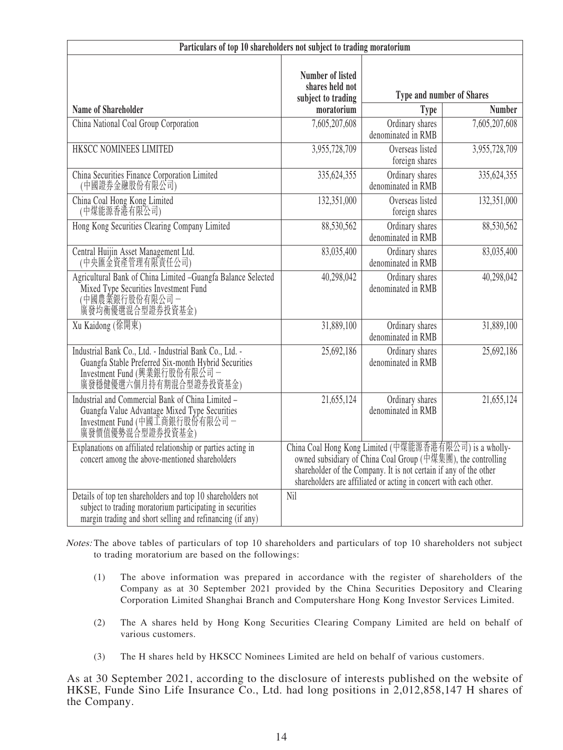| Particulars of top 10 shareholders not subject to trading moratorium                                                                                                                  |                                                                                                                                                                                                                                                                  |                                       |               |  |  |
|---------------------------------------------------------------------------------------------------------------------------------------------------------------------------------------|------------------------------------------------------------------------------------------------------------------------------------------------------------------------------------------------------------------------------------------------------------------|---------------------------------------|---------------|--|--|
|                                                                                                                                                                                       | <b>Number of listed</b><br>shares held not<br>subject to trading                                                                                                                                                                                                 | Type and number of Shares             |               |  |  |
| <b>Name of Shareholder</b>                                                                                                                                                            | moratorium                                                                                                                                                                                                                                                       | <b>Type</b>                           | <b>Number</b> |  |  |
| China National Coal Group Corporation                                                                                                                                                 | 7,605,207,608                                                                                                                                                                                                                                                    | Ordinary shares<br>denominated in RMB | 7,605,207,608 |  |  |
| HKSCC NOMINEES LIMITED                                                                                                                                                                | 3,955,728,709                                                                                                                                                                                                                                                    | Overseas listed<br>foreign shares     | 3,955,728,709 |  |  |
| China Securities Finance Corporation Limited (中國證券金融股份有限公司)                                                                                                                           | 335,624,355                                                                                                                                                                                                                                                      | Ordinary shares<br>denominated in RMB | 335, 624, 355 |  |  |
| China Coal Hong Kong Limited<br>(中煤能源香港有限公司)                                                                                                                                          | 132,351,000                                                                                                                                                                                                                                                      | Overseas listed<br>foreign shares     | 132,351,000   |  |  |
| Hong Kong Securities Clearing Company Limited                                                                                                                                         | 88,530,562                                                                                                                                                                                                                                                       | Ordinary shares<br>denominated in RMB | 88,530,562    |  |  |
| Central Huijin Asset Management Ltd.<br>(中央匯金資產管理有限責任公司)                                                                                                                              | 83,035,400                                                                                                                                                                                                                                                       | Ordinary shares<br>denominated in RMB | 83,035,400    |  |  |
| Agricultural Bank of China Limited -Guangfa Balance Selected<br>Mixed Type Securities Investment Fund<br>(中國農業銀行股份有限公司 –<br>廣發均衡優選混合型證券投資基金)                                          | 40,298,042                                                                                                                                                                                                                                                       | Ordinary shares<br>denominated in RMB | 40,298,042    |  |  |
| Xu Kaidong (徐開東)                                                                                                                                                                      | 31,889,100                                                                                                                                                                                                                                                       | Ordinary shares<br>denominated in RMB | 31,889,100    |  |  |
| Industrial Bank Co., Ltd. - Industrial Bank Co., Ltd. -<br>Guangfa Stable Preferred Six-month Hybrid Securities<br>Investment Fund (興業銀行股份有限公司-<br>廣發穩健優選六個月持有期混合型證券投資基金)             | 25,692,186                                                                                                                                                                                                                                                       | Ordinary shares<br>denominated in RMB | 25,692,186    |  |  |
| Industrial and Commercial Bank of China Limited -<br>Guangfa Value Advantage Mixed Type Securities<br>Investment Fund (中國工商銀行股份有限公司 -<br>廣發價值優勢混合型證券投資基金)                             | 21,655,124                                                                                                                                                                                                                                                       | Ordinary shares<br>denominated in RMB | 21,655,124    |  |  |
| Explanations on affiliated relationship or parties acting in<br>concert among the above-mentioned shareholders                                                                        | China Coal Hong Kong Limited (中煤能源香港有限公司) is a wholly-<br>owned subsidiary of China Coal Group (中煤集團), the controlling<br>shareholder of the Company. It is not certain if any of the other<br>shareholders are affiliated or acting in concert with each other. |                                       |               |  |  |
| Details of top ten shareholders and top 10 shareholders not<br>subject to trading moratorium participating in securities<br>margin trading and short selling and refinancing (if any) | Nil                                                                                                                                                                                                                                                              |                                       |               |  |  |

Notes: The above tables of particulars of top 10 shareholders and particulars of top 10 shareholders not subject to trading moratorium are based on the followings:

- (1) The above information was prepared in accordance with the register of shareholders of the Company as at 30 September 2021 provided by the China Securities Depository and Clearing Corporation Limited Shanghai Branch and Computershare Hong Kong Investor Services Limited.
- (2) The A shares held by Hong Kong Securities Clearing Company Limited are held on behalf of various customers.
- (3) The H shares held by HKSCC Nominees Limited are held on behalf of various customers.

As at 30 September 2021, according to the disclosure of interests published on the website of HKSE, Funde Sino Life Insurance Co., Ltd. had long positions in 2,012,858,147 H shares of the Company.